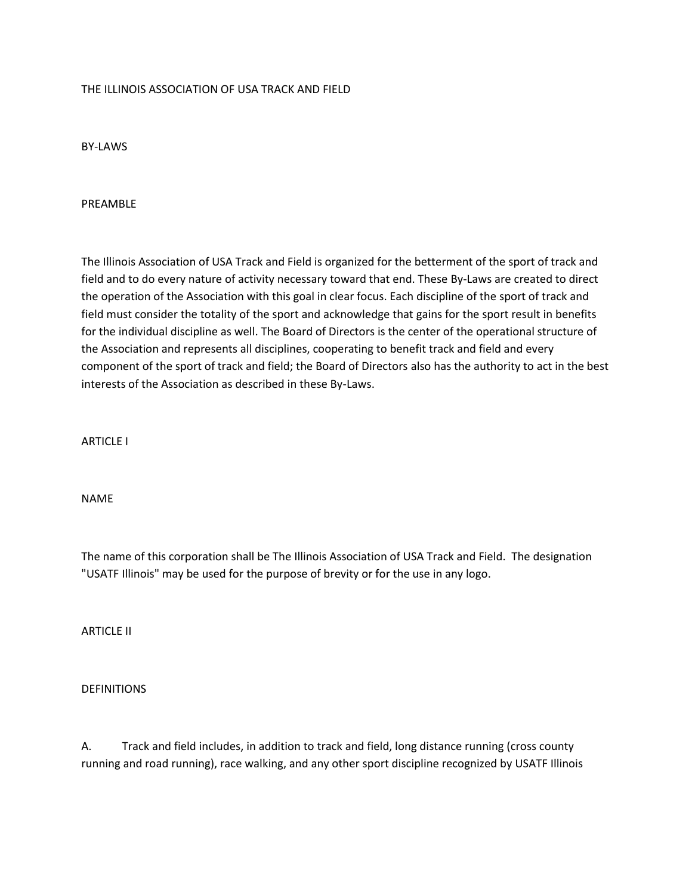#### THE ILLINOIS ASSOCIATION OF USA TRACK AND FIELD

BY-LAWS

#### PREAMBLE

The Illinois Association of USA Track and Field is organized for the betterment of the sport of track and field and to do every nature of activity necessary toward that end. These By-Laws are created to direct the operation of the Association with this goal in clear focus. Each discipline of the sport of track and field must consider the totality of the sport and acknowledge that gains for the sport result in benefits for the individual discipline as well. The Board of Directors is the center of the operational structure of the Association and represents all disciplines, cooperating to benefit track and field and every component of the sport of track and field; the Board of Directors also has the authority to act in the best interests of the Association as described in these By-Laws.

ARTICLE I

NAME

The name of this corporation shall be The Illinois Association of USA Track and Field. The designation "USATF Illinois" may be used for the purpose of brevity or for the use in any logo.

ARTICLE II

#### DEFINITIONS

A. Track and field includes, in addition to track and field, long distance running (cross county running and road running), race walking, and any other sport discipline recognized by USATF Illinois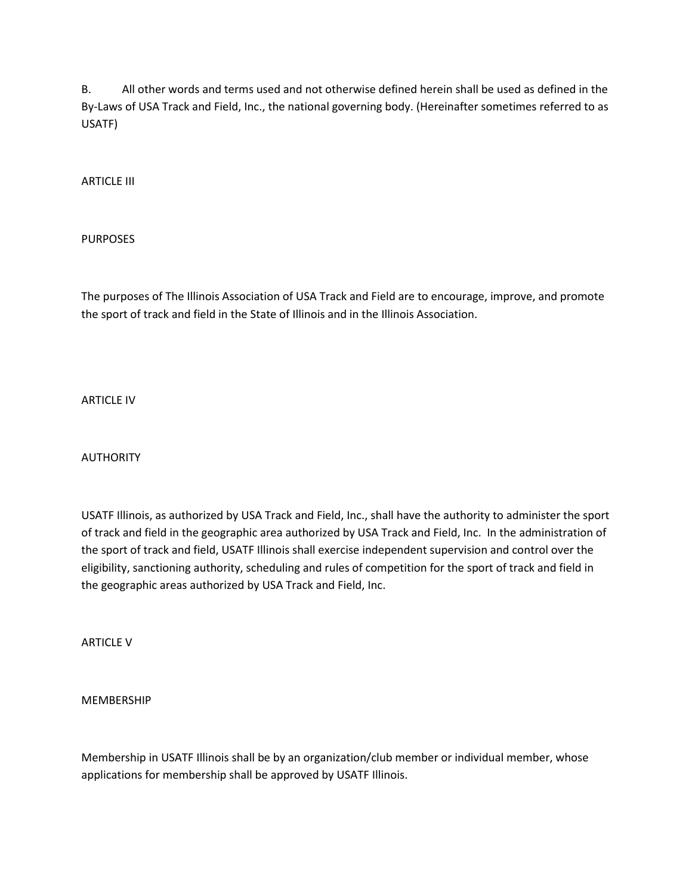B. All other words and terms used and not otherwise defined herein shall be used as defined in the By-Laws of USA Track and Field, Inc., the national governing body. (Hereinafter sometimes referred to as USATF)

ARTICLE III

PURPOSES

The purposes of The Illinois Association of USA Track and Field are to encourage, improve, and promote the sport of track and field in the State of Illinois and in the Illinois Association.

ARTICLE IV

AUTHORITY

USATF Illinois, as authorized by USA Track and Field, Inc., shall have the authority to administer the sport of track and field in the geographic area authorized by USA Track and Field, Inc. In the administration of the sport of track and field, USATF Illinois shall exercise independent supervision and control over the eligibility, sanctioning authority, scheduling and rules of competition for the sport of track and field in the geographic areas authorized by USA Track and Field, Inc.

ARTICLE V

MEMBERSHIP

Membership in USATF Illinois shall be by an organization/club member or individual member, whose applications for membership shall be approved by USATF Illinois.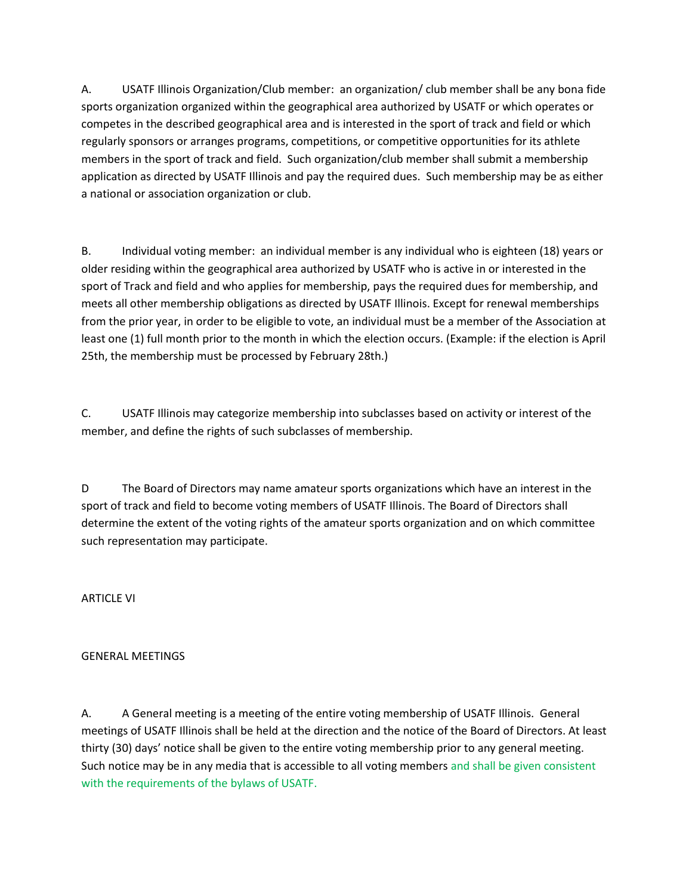A. USATF Illinois Organization/Club member: an organization/ club member shall be any bona fide sports organization organized within the geographical area authorized by USATF or which operates or competes in the described geographical area and is interested in the sport of track and field or which regularly sponsors or arranges programs, competitions, or competitive opportunities for its athlete members in the sport of track and field. Such organization/club member shall submit a membership application as directed by USATF Illinois and pay the required dues. Such membership may be as either a national or association organization or club.

B. Individual voting member: an individual member is any individual who is eighteen (18) years or older residing within the geographical area authorized by USATF who is active in or interested in the sport of Track and field and who applies for membership, pays the required dues for membership, and meets all other membership obligations as directed by USATF Illinois. Except for renewal memberships from the prior year, in order to be eligible to vote, an individual must be a member of the Association at least one (1) full month prior to the month in which the election occurs. (Example: if the election is April 25th, the membership must be processed by February 28th.)

C. USATF Illinois may categorize membership into subclasses based on activity or interest of the member, and define the rights of such subclasses of membership.

D The Board of Directors may name amateur sports organizations which have an interest in the sport of track and field to become voting members of USATF Illinois. The Board of Directors shall determine the extent of the voting rights of the amateur sports organization and on which committee such representation may participate.

ARTICLE VI

#### GENERAL MEETINGS

A. A General meeting is a meeting of the entire voting membership of USATF Illinois. General meetings of USATF Illinois shall be held at the direction and the notice of the Board of Directors. At least thirty (30) days' notice shall be given to the entire voting membership prior to any general meeting. Such notice may be in any media that is accessible to all voting members and shall be given consistent with the requirements of the bylaws of USATF.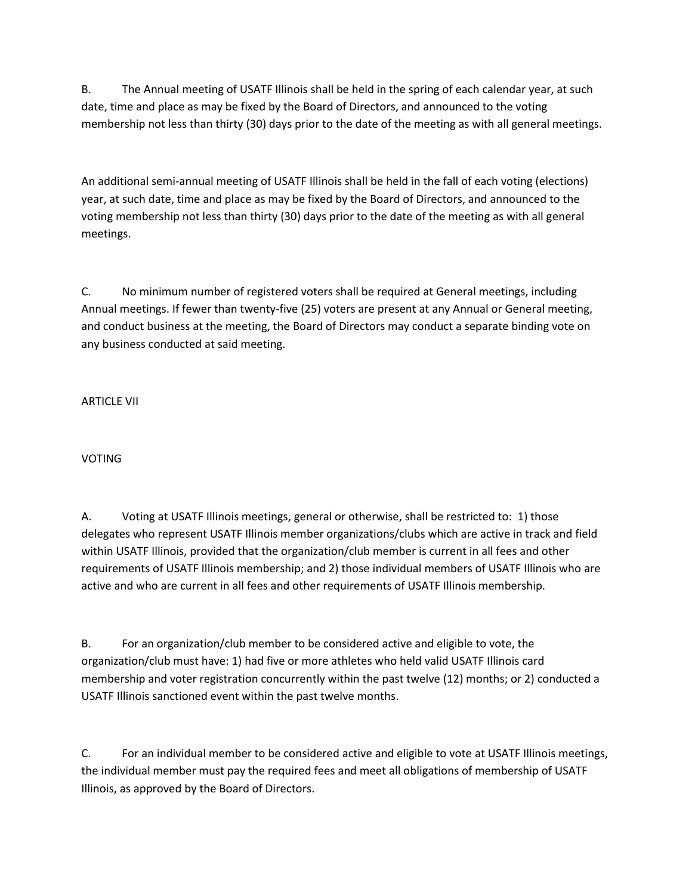B. The Annual meeting of USATF Illinois shall be held in the spring of each calendar year, at such date, time and place as may be fixed by the Board of Directors, and announced to the voting membership not less than thirty (30) days prior to the date of the meeting as with all general meetings.

An additional semi-annual meeting of USATF Illinois shall be held in the fall of each voting (elections) year, at such date, time and place as may be fixed by the Board of Directors, and announced to the voting membership not less than thirty (30) days prior to the date of the meeting as with all general meetings.

C. No minimum number of registered voters shall be required at General meetings, including Annual meetings. If fewer than twenty-five (25) voters are present at any Annual or General meeting, and conduct business at the meeting, the Board of Directors may conduct a separate binding vote on any business conducted at said meeting.

ARTICLE VII

VOTING

A. Voting at USATF Illinois meetings, general or otherwise, shall be restricted to: 1) those delegates who represent USATF Illinois member organizations/clubs which are active in track and field within USATF Illinois, provided that the organization/club member is current in all fees and other requirements of USATF Illinois membership; and 2) those individual members of USATF Illinois who are active and who are current in all fees and other requirements of USATF Illinois membership.

B. For an organization/club member to be considered active and eligible to vote, the organization/club must have: 1) had five or more athletes who held valid USATF Illinois card membership and voter registration concurrently within the past twelve (12) months; or 2) conducted a USATF Illinois sanctioned event within the past twelve months.

C. For an individual member to be considered active and eligible to vote at USATF Illinois meetings, the individual member must pay the required fees and meet all obligations of membership of USATF Illinois, as approved by the Board of Directors.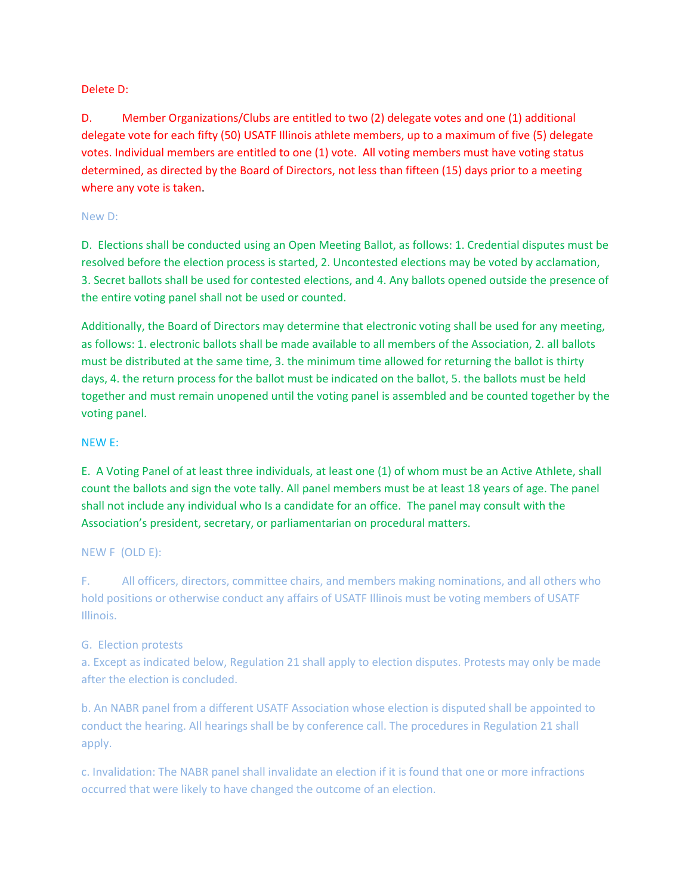#### Delete D:

D. Member Organizations/Clubs are entitled to two (2) delegate votes and one (1) additional delegate vote for each fifty (50) USATF Illinois athlete members, up to a maximum of five (5) delegate votes. Individual members are entitled to one (1) vote. All voting members must have voting status determined, as directed by the Board of Directors, not less than fifteen (15) days prior to a meeting where any vote is taken.

#### New D:

D. Elections shall be conducted using an Open Meeting Ballot, as follows: 1. Credential disputes must be resolved before the election process is started, 2. Uncontested elections may be voted by acclamation, 3. Secret ballots shall be used for contested elections, and 4. Any ballots opened outside the presence of the entire voting panel shall not be used or counted.

Additionally, the Board of Directors may determine that electronic voting shall be used for any meeting, as follows: 1. electronic ballots shall be made available to all members of the Association, 2. all ballots must be distributed at the same time, 3. the minimum time allowed for returning the ballot is thirty days, 4. the return process for the ballot must be indicated on the ballot, 5. the ballots must be held together and must remain unopened until the voting panel is assembled and be counted together by the voting panel.

### NEW E:

E. A Voting Panel of at least three individuals, at least one (1) of whom must be an Active Athlete, shall count the ballots and sign the vote tally. All panel members must be at least 18 years of age. The panel shall not include any individual who Is a candidate for an office. The panel may consult with the Association's president, secretary, or parliamentarian on procedural matters.

#### NEW F (OLD E):

F. All officers, directors, committee chairs, and members making nominations, and all others who hold positions or otherwise conduct any affairs of USATF Illinois must be voting members of USATF Illinois.

## G. Election protests

a. Except as indicated below, Regulation 21 shall apply to election disputes. Protests may only be made after the election is concluded.

b. An NABR panel from a different USATF Association whose election is disputed shall be appointed to conduct the hearing. All hearings shall be by conference call. The procedures in Regulation 21 shall apply.

c. Invalidation: The NABR panel shall invalidate an election if it is found that one or more infractions occurred that were likely to have changed the outcome of an election.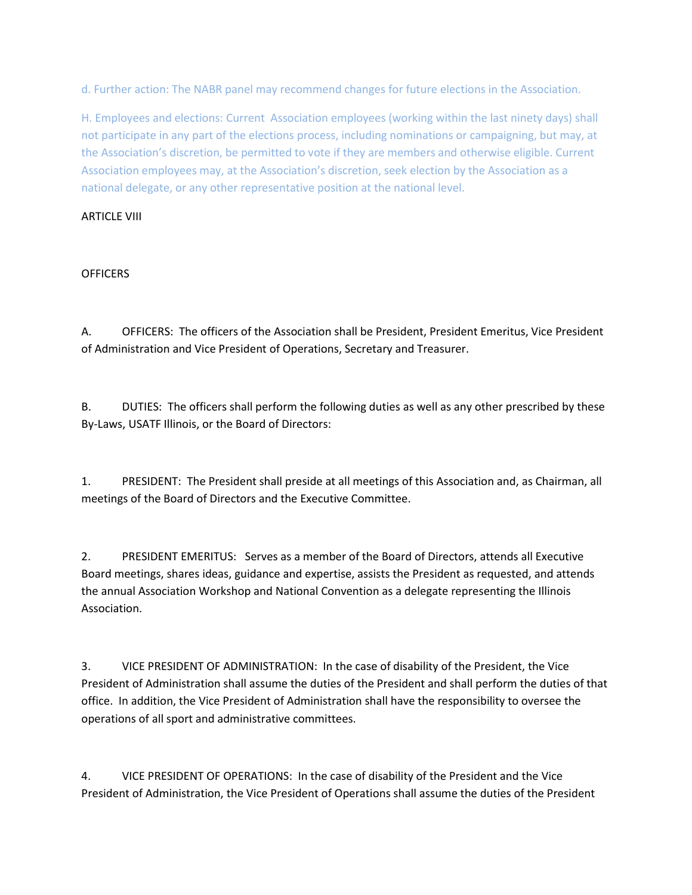d. Further action: The NABR panel may recommend changes for future elections in the Association.

H. Employees and elections: Current Association employees (working within the last ninety days) shall not participate in any part of the elections process, including nominations or campaigning, but may, at the Association's discretion, be permitted to vote if they are members and otherwise eligible. Current Association employees may, at the Association's discretion, seek election by the Association as a national delegate, or any other representative position at the national level.

#### ARTICLE VIII

#### **OFFICERS**

A. OFFICERS: The officers of the Association shall be President, President Emeritus, Vice President of Administration and Vice President of Operations, Secretary and Treasurer.

B. DUTIES: The officers shall perform the following duties as well as any other prescribed by these By-Laws, USATF Illinois, or the Board of Directors:

1. PRESIDENT: The President shall preside at all meetings of this Association and, as Chairman, all meetings of the Board of Directors and the Executive Committee.

2. PRESIDENT EMERITUS: Serves as a member of the Board of Directors, attends all Executive Board meetings, shares ideas, guidance and expertise, assists the President as requested, and attends the annual Association Workshop and National Convention as a delegate representing the Illinois Association.

3. VICE PRESIDENT OF ADMINISTRATION: In the case of disability of the President, the Vice President of Administration shall assume the duties of the President and shall perform the duties of that office. In addition, the Vice President of Administration shall have the responsibility to oversee the operations of all sport and administrative committees.

4. VICE PRESIDENT OF OPERATIONS: In the case of disability of the President and the Vice President of Administration, the Vice President of Operations shall assume the duties of the President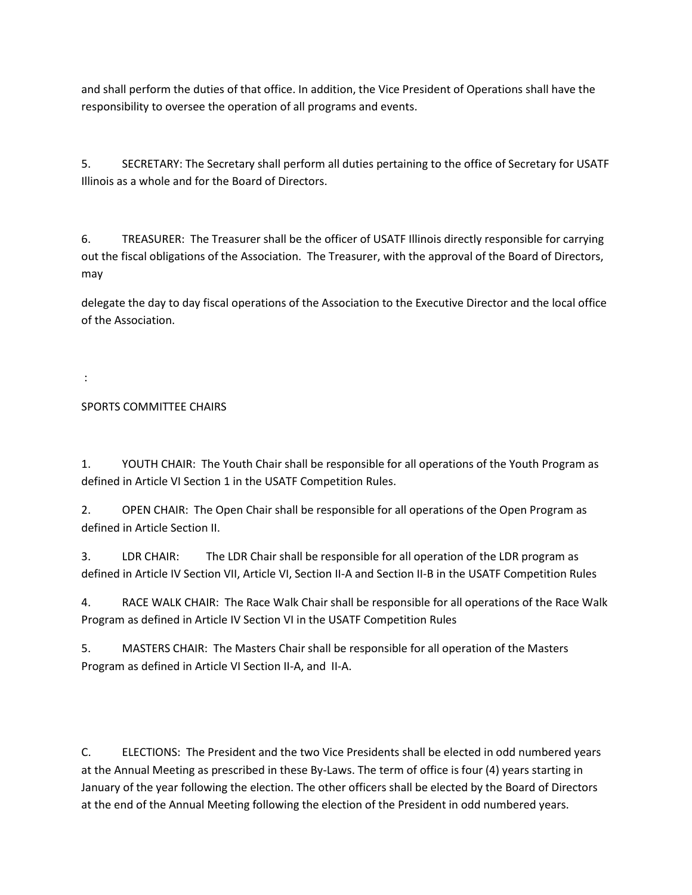and shall perform the duties of that office. In addition, the Vice President of Operations shall have the responsibility to oversee the operation of all programs and events.

5. SECRETARY: The Secretary shall perform all duties pertaining to the office of Secretary for USATF Illinois as a whole and for the Board of Directors.

6. TREASURER: The Treasurer shall be the officer of USATF Illinois directly responsible for carrying out the fiscal obligations of the Association. The Treasurer, with the approval of the Board of Directors, may

delegate the day to day fiscal operations of the Association to the Executive Director and the local office of the Association.

:

# SPORTS COMMITTEE CHAIRS

1. YOUTH CHAIR: The Youth Chair shall be responsible for all operations of the Youth Program as defined in Article VI Section 1 in the USATF Competition Rules.

2. OPEN CHAIR: The Open Chair shall be responsible for all operations of the Open Program as defined in Article Section II.

3. LDR CHAIR: The LDR Chair shall be responsible for all operation of the LDR program as defined in Article IV Section VII, Article VI, Section II-A and Section II-B in the USATF Competition Rules

4. RACE WALK CHAIR: The Race Walk Chair shall be responsible for all operations of the Race Walk Program as defined in Article IV Section VI in the USATF Competition Rules

5. MASTERS CHAIR: The Masters Chair shall be responsible for all operation of the Masters Program as defined in Article VI Section II-A, and II-A.

C. ELECTIONS: The President and the two Vice Presidents shall be elected in odd numbered years at the Annual Meeting as prescribed in these By-Laws. The term of office is four (4) years starting in January of the year following the election. The other officers shall be elected by the Board of Directors at the end of the Annual Meeting following the election of the President in odd numbered years.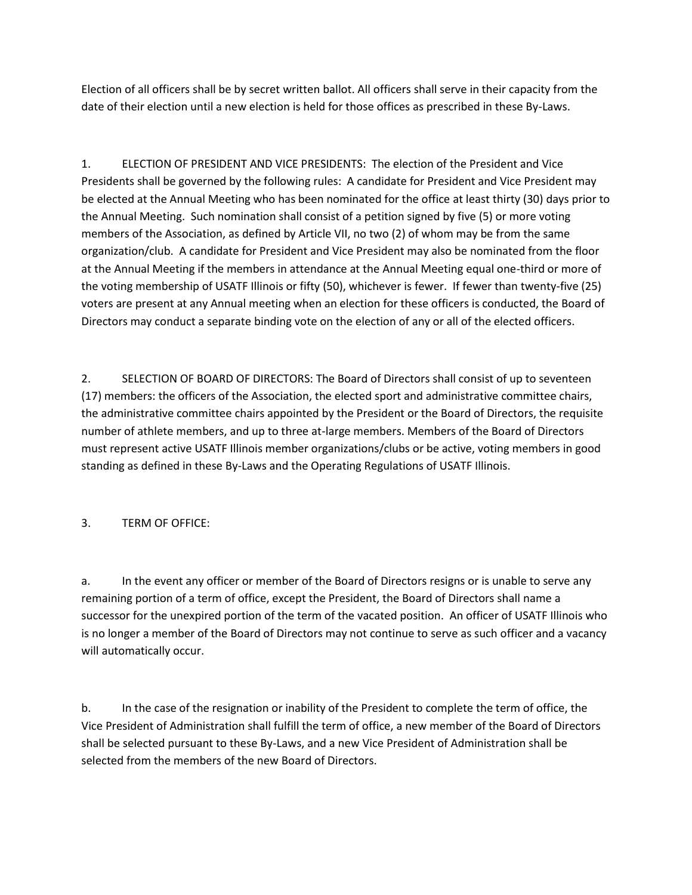Election of all officers shall be by secret written ballot. All officers shall serve in their capacity from the date of their election until a new election is held for those offices as prescribed in these By-Laws.

1. ELECTION OF PRESIDENT AND VICE PRESIDENTS: The election of the President and Vice Presidents shall be governed by the following rules: A candidate for President and Vice President may be elected at the Annual Meeting who has been nominated for the office at least thirty (30) days prior to the Annual Meeting. Such nomination shall consist of a petition signed by five (5) or more voting members of the Association, as defined by Article VII, no two (2) of whom may be from the same organization/club. A candidate for President and Vice President may also be nominated from the floor at the Annual Meeting if the members in attendance at the Annual Meeting equal one-third or more of the voting membership of USATF Illinois or fifty (50), whichever is fewer. If fewer than twenty-five (25) voters are present at any Annual meeting when an election for these officers is conducted, the Board of Directors may conduct a separate binding vote on the election of any or all of the elected officers.

2. SELECTION OF BOARD OF DIRECTORS: The Board of Directors shall consist of up to seventeen (17) members: the officers of the Association, the elected sport and administrative committee chairs, the administrative committee chairs appointed by the President or the Board of Directors, the requisite number of athlete members, and up to three at-large members. Members of the Board of Directors must represent active USATF Illinois member organizations/clubs or be active, voting members in good standing as defined in these By-Laws and the Operating Regulations of USATF Illinois.

## 3. TERM OF OFFICE:

a. In the event any officer or member of the Board of Directors resigns or is unable to serve any remaining portion of a term of office, except the President, the Board of Directors shall name a successor for the unexpired portion of the term of the vacated position. An officer of USATF Illinois who is no longer a member of the Board of Directors may not continue to serve as such officer and a vacancy will automatically occur.

b. In the case of the resignation or inability of the President to complete the term of office, the Vice President of Administration shall fulfill the term of office, a new member of the Board of Directors shall be selected pursuant to these By-Laws, and a new Vice President of Administration shall be selected from the members of the new Board of Directors.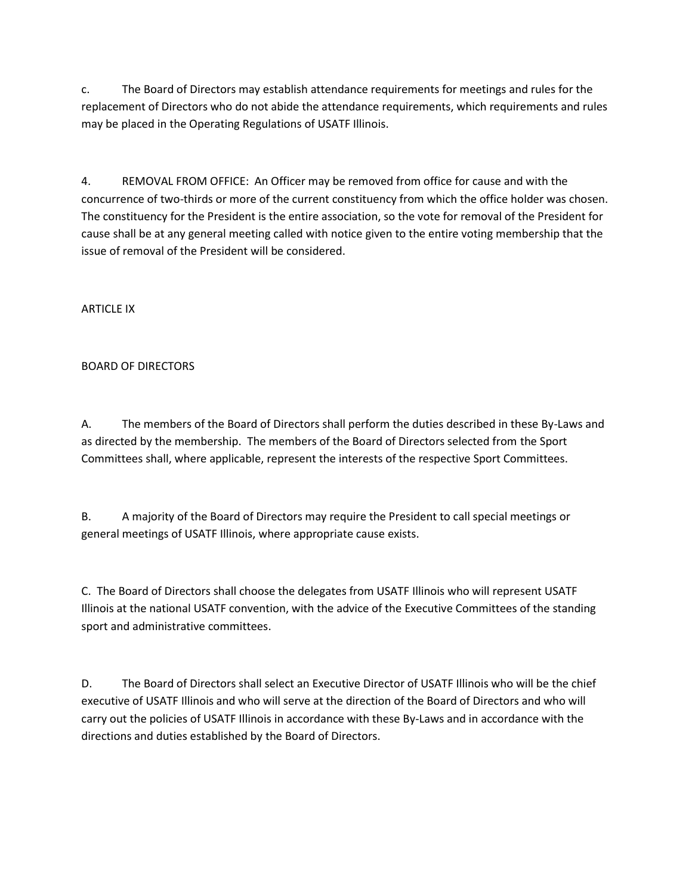c. The Board of Directors may establish attendance requirements for meetings and rules for the replacement of Directors who do not abide the attendance requirements, which requirements and rules may be placed in the Operating Regulations of USATF Illinois.

4. REMOVAL FROM OFFICE: An Officer may be removed from office for cause and with the concurrence of two-thirds or more of the current constituency from which the office holder was chosen. The constituency for the President is the entire association, so the vote for removal of the President for cause shall be at any general meeting called with notice given to the entire voting membership that the issue of removal of the President will be considered.

ARTICLE IX

## BOARD OF DIRECTORS

A. The members of the Board of Directors shall perform the duties described in these By-Laws and as directed by the membership. The members of the Board of Directors selected from the Sport Committees shall, where applicable, represent the interests of the respective Sport Committees.

B. A majority of the Board of Directors may require the President to call special meetings or general meetings of USATF Illinois, where appropriate cause exists.

C. The Board of Directors shall choose the delegates from USATF Illinois who will represent USATF Illinois at the national USATF convention, with the advice of the Executive Committees of the standing sport and administrative committees.

D. The Board of Directors shall select an Executive Director of USATF Illinois who will be the chief executive of USATF Illinois and who will serve at the direction of the Board of Directors and who will carry out the policies of USATF Illinois in accordance with these By-Laws and in accordance with the directions and duties established by the Board of Directors.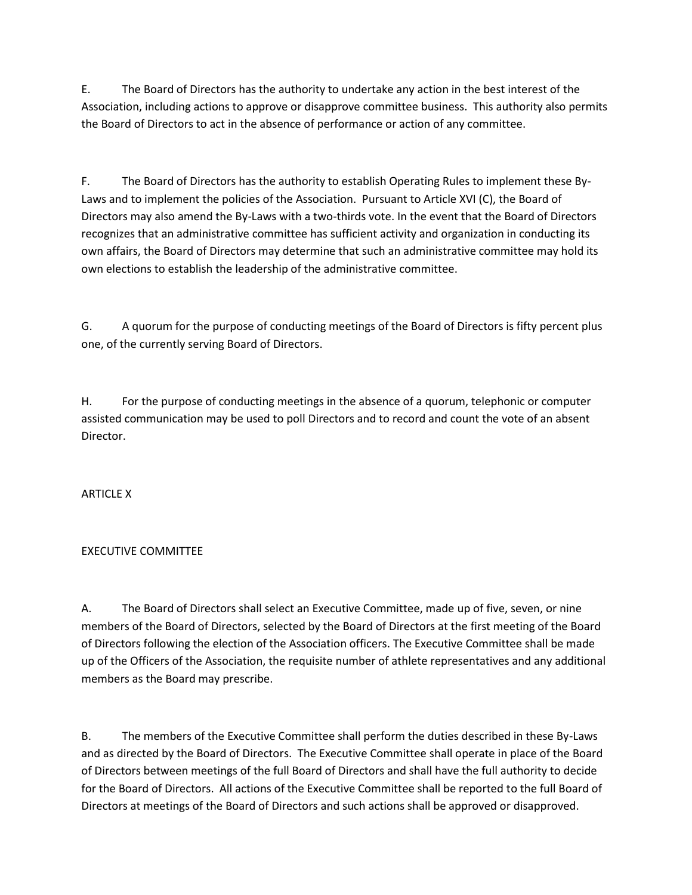E. The Board of Directors has the authority to undertake any action in the best interest of the Association, including actions to approve or disapprove committee business. This authority also permits the Board of Directors to act in the absence of performance or action of any committee.

F. The Board of Directors has the authority to establish Operating Rules to implement these By-Laws and to implement the policies of the Association. Pursuant to Article XVI (C), the Board of Directors may also amend the By-Laws with a two-thirds vote. In the event that the Board of Directors recognizes that an administrative committee has sufficient activity and organization in conducting its own affairs, the Board of Directors may determine that such an administrative committee may hold its own elections to establish the leadership of the administrative committee.

G. A quorum for the purpose of conducting meetings of the Board of Directors is fifty percent plus one, of the currently serving Board of Directors.

H. For the purpose of conducting meetings in the absence of a quorum, telephonic or computer assisted communication may be used to poll Directors and to record and count the vote of an absent Director.

**ARTICLE X** 

## EXECUTIVE COMMITTEE

A. The Board of Directors shall select an Executive Committee, made up of five, seven, or nine members of the Board of Directors, selected by the Board of Directors at the first meeting of the Board of Directors following the election of the Association officers. The Executive Committee shall be made up of the Officers of the Association, the requisite number of athlete representatives and any additional members as the Board may prescribe.

B. The members of the Executive Committee shall perform the duties described in these By-Laws and as directed by the Board of Directors. The Executive Committee shall operate in place of the Board of Directors between meetings of the full Board of Directors and shall have the full authority to decide for the Board of Directors. All actions of the Executive Committee shall be reported to the full Board of Directors at meetings of the Board of Directors and such actions shall be approved or disapproved.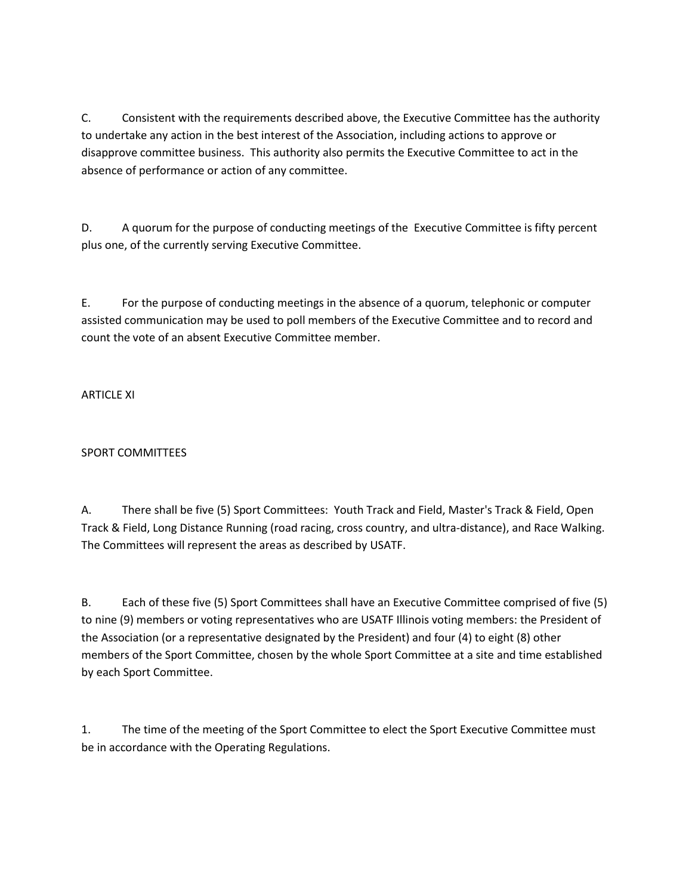C. Consistent with the requirements described above, the Executive Committee has the authority to undertake any action in the best interest of the Association, including actions to approve or disapprove committee business. This authority also permits the Executive Committee to act in the absence of performance or action of any committee.

D. A quorum for the purpose of conducting meetings of the Executive Committee is fifty percent plus one, of the currently serving Executive Committee.

E. For the purpose of conducting meetings in the absence of a quorum, telephonic or computer assisted communication may be used to poll members of the Executive Committee and to record and count the vote of an absent Executive Committee member.

ARTICLE XI

# SPORT COMMITTEES

A. There shall be five (5) Sport Committees: Youth Track and Field, Master's Track & Field, Open Track & Field, Long Distance Running (road racing, cross country, and ultra-distance), and Race Walking. The Committees will represent the areas as described by USATF.

B. Each of these five (5) Sport Committees shall have an Executive Committee comprised of five (5) to nine (9) members or voting representatives who are USATF Illinois voting members: the President of the Association (or a representative designated by the President) and four (4) to eight (8) other members of the Sport Committee, chosen by the whole Sport Committee at a site and time established by each Sport Committee.

1. The time of the meeting of the Sport Committee to elect the Sport Executive Committee must be in accordance with the Operating Regulations.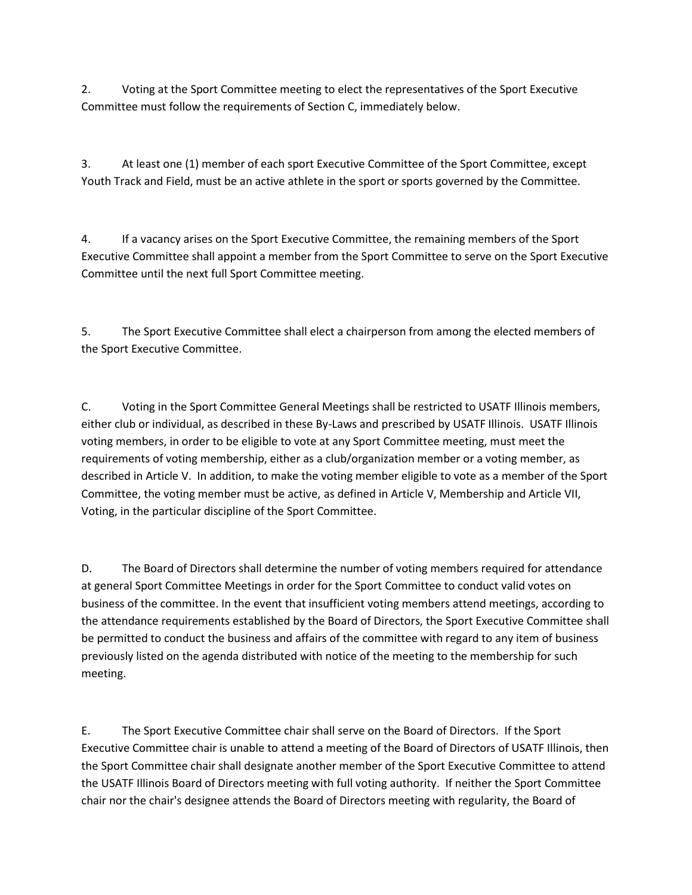2. Voting at the Sport Committee meeting to elect the representatives of the Sport Executive Committee must follow the requirements of Section C, immediately below.

3. At least one (1) member of each sport Executive Committee of the Sport Committee, except Youth Track and Field, must be an active athlete in the sport or sports governed by the Committee.

4. If a vacancy arises on the Sport Executive Committee, the remaining members of the Sport Executive Committee shall appoint a member from the Sport Committee to serve on the Sport Executive Committee until the next full Sport Committee meeting.

5. The Sport Executive Committee shall elect a chairperson from among the elected members of the Sport Executive Committee.

C. Voting in the Sport Committee General Meetings shall be restricted to USATF Illinois members, either club or individual, as described in these By-Laws and prescribed by USATF Illinois. USATF Illinois voting members, in order to be eligible to vote at any Sport Committee meeting, must meet the requirements of voting membership, either as a club/organization member or a voting member, as described in Article V. In addition, to make the voting member eligible to vote as a member of the Sport Committee, the voting member must be active, as defined in Article V, Membership and Article VII, Voting, in the particular discipline of the Sport Committee.

D. The Board of Directors shall determine the number of voting members required for attendance at general Sport Committee Meetings in order for the Sport Committee to conduct valid votes on business of the committee. In the event that insufficient voting members attend meetings, according to the attendance requirements established by the Board of Directors, the Sport Executive Committee shall be permitted to conduct the business and affairs of the committee with regard to any item of business previously listed on the agenda distributed with notice of the meeting to the membership for such meeting.

E. The Sport Executive Committee chair shall serve on the Board of Directors. If the Sport Executive Committee chair is unable to attend a meeting of the Board of Directors of USATF Illinois, then the Sport Committee chair shall designate another member of the Sport Executive Committee to attend the USATF Illinois Board of Directors meeting with full voting authority. If neither the Sport Committee chair nor the chair's designee attends the Board of Directors meeting with regularity, the Board of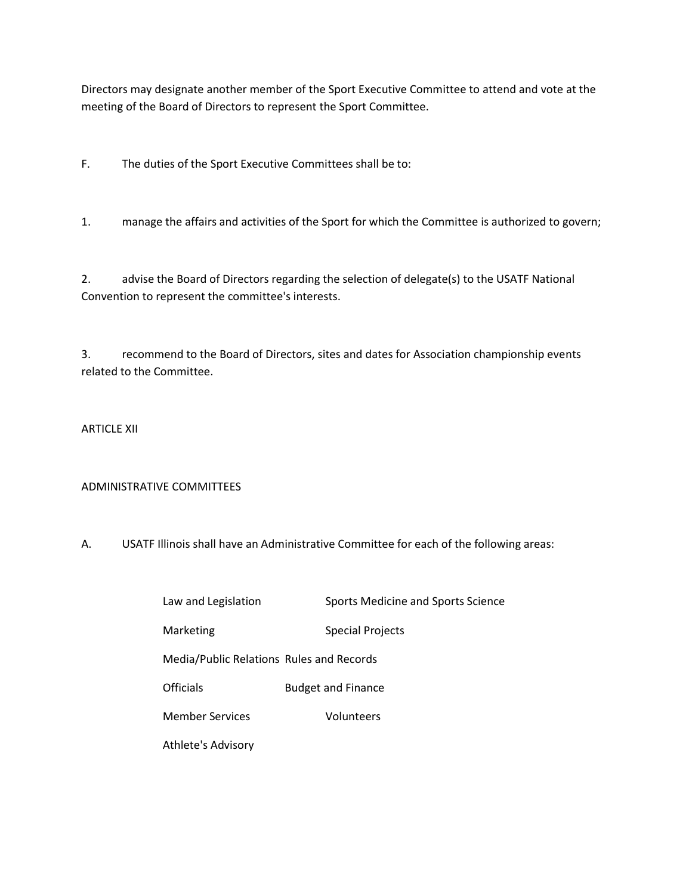Directors may designate another member of the Sport Executive Committee to attend and vote at the meeting of the Board of Directors to represent the Sport Committee.

F. The duties of the Sport Executive Committees shall be to:

1. manage the affairs and activities of the Sport for which the Committee is authorized to govern;

2. advise the Board of Directors regarding the selection of delegate(s) to the USATF National Convention to represent the committee's interests.

3. recommend to the Board of Directors, sites and dates for Association championship events related to the Committee.

#### ARTICLE XII

#### ADMINISTRATIVE COMMITTEES

A. USATF Illinois shall have an Administrative Committee for each of the following areas:

| Law and Legislation                      | <b>Sports Medicine and Sports Science</b> |
|------------------------------------------|-------------------------------------------|
| Marketing                                | <b>Special Projects</b>                   |
| Media/Public Relations Rules and Records |                                           |
| Officials                                | <b>Budget and Finance</b>                 |
| <b>Member Services</b>                   | Volunteers                                |
| Athlete's Advisory                       |                                           |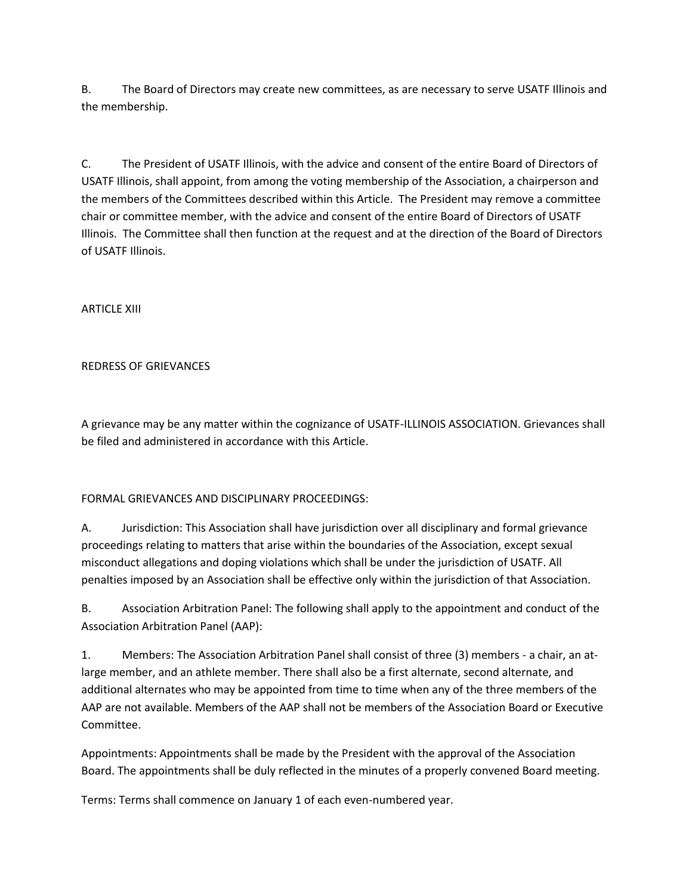B. The Board of Directors may create new committees, as are necessary to serve USATF Illinois and the membership.

C. The President of USATF Illinois, with the advice and consent of the entire Board of Directors of USATF Illinois, shall appoint, from among the voting membership of the Association, a chairperson and the members of the Committees described within this Article. The President may remove a committee chair or committee member, with the advice and consent of the entire Board of Directors of USATF Illinois. The Committee shall then function at the request and at the direction of the Board of Directors of USATF Illinois.

ARTICLE XIII

## REDRESS OF GRIEVANCES

A grievance may be any matter within the cognizance of USATF-ILLINOIS ASSOCIATION. Grievances shall be filed and administered in accordance with this Article.

## FORMAL GRIEVANCES AND DISCIPLINARY PROCEEDINGS:

A. Jurisdiction: This Association shall have jurisdiction over all disciplinary and formal grievance proceedings relating to matters that arise within the boundaries of the Association, except sexual misconduct allegations and doping violations which shall be under the jurisdiction of USATF. All penalties imposed by an Association shall be effective only within the jurisdiction of that Association.

B. Association Arbitration Panel: The following shall apply to the appointment and conduct of the Association Arbitration Panel (AAP):

1. Members: The Association Arbitration Panel shall consist of three (3) members - a chair, an atlarge member, and an athlete member. There shall also be a first alternate, second alternate, and additional alternates who may be appointed from time to time when any of the three members of the AAP are not available. Members of the AAP shall not be members of the Association Board or Executive Committee.

Appointments: Appointments shall be made by the President with the approval of the Association Board. The appointments shall be duly reflected in the minutes of a properly convened Board meeting.

Terms: Terms shall commence on January 1 of each even-numbered year.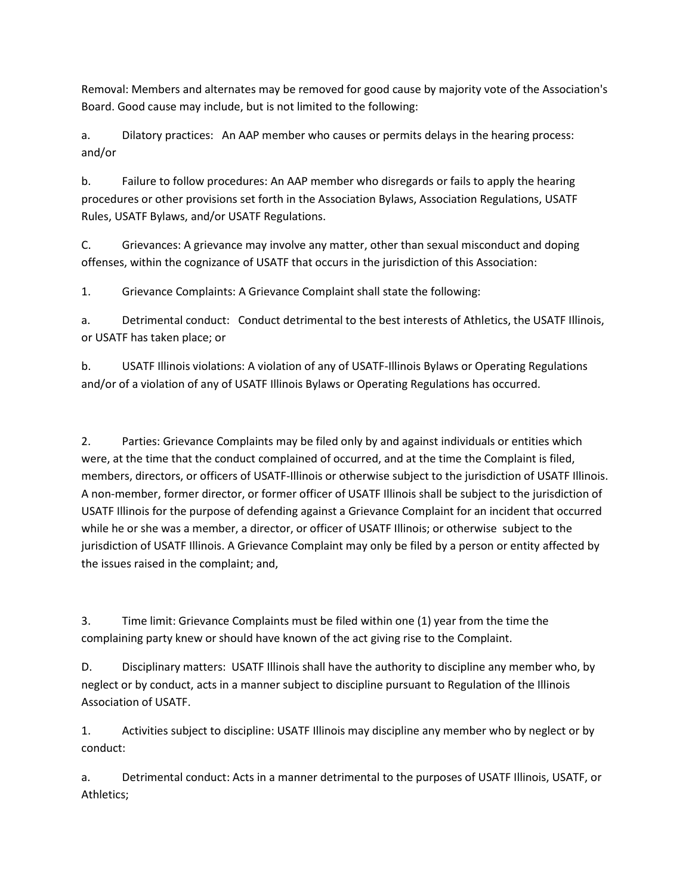Removal: Members and alternates may be removed for good cause by majority vote of the Association's Board. Good cause may include, but is not limited to the following:

a. Dilatory practices: An AAP member who causes or permits delays in the hearing process: and/or

b. Failure to follow procedures: An AAP member who disregards or fails to apply the hearing procedures or other provisions set forth in the Association Bylaws, Association Regulations, USATF Rules, USATF Bylaws, and/or USATF Regulations.

C. Grievances: A grievance may involve any matter, other than sexual misconduct and doping offenses, within the cognizance of USATF that occurs in the jurisdiction of this Association:

1. Grievance Complaints: A Grievance Complaint shall state the following:

a. Detrimental conduct: Conduct detrimental to the best interests of Athletics, the USATF Illinois, or USATF has taken place; or

b. USATF Illinois violations: A violation of any of USATF-Illinois Bylaws or Operating Regulations and/or of a violation of any of USATF Illinois Bylaws or Operating Regulations has occurred.

2. Parties: Grievance Complaints may be filed only by and against individuals or entities which were, at the time that the conduct complained of occurred, and at the time the Complaint is filed, members, directors, or officers of USATF-Illinois or otherwise subject to the jurisdiction of USATF Illinois. A non-member, former director, or former officer of USATF Illinois shall be subject to the jurisdiction of USATF Illinois for the purpose of defending against a Grievance Complaint for an incident that occurred while he or she was a member, a director, or officer of USATF Illinois; or otherwise subject to the jurisdiction of USATF Illinois. A Grievance Complaint may only be filed by a person or entity affected by the issues raised in the complaint; and,

3. Time limit: Grievance Complaints must be filed within one (1) year from the time the complaining party knew or should have known of the act giving rise to the Complaint.

D. Disciplinary matters: USATF Illinois shall have the authority to discipline any member who, by neglect or by conduct, acts in a manner subject to discipline pursuant to Regulation of the Illinois Association of USATF.

1. Activities subject to discipline: USATF Illinois may discipline any member who by neglect or by conduct:

a. Detrimental conduct: Acts in a manner detrimental to the purposes of USATF Illinois, USATF, or Athletics;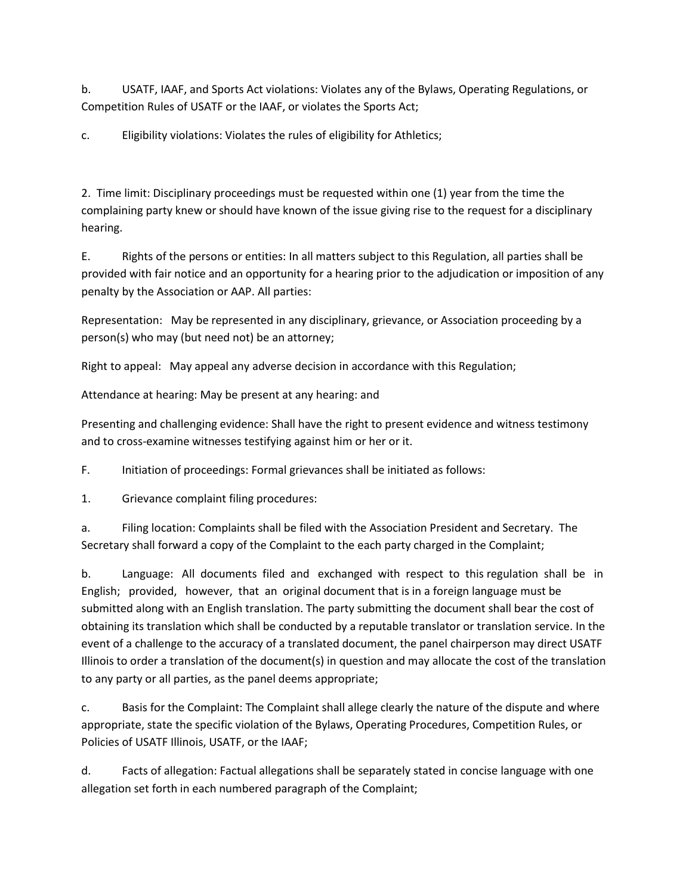b. USATF, IAAF, and Sports Act violations: Violates any of the Bylaws, Operating Regulations, or Competition Rules of USATF or the IAAF, or violates the Sports Act;

c. Eligibility violations: Violates the rules of eligibility for Athletics;

2. Time limit: Disciplinary proceedings must be requested within one (1) year from the time the complaining party knew or should have known of the issue giving rise to the request for a disciplinary hearing.

E. Rights of the persons or entities: In all matters subject to this Regulation, all parties shall be provided with fair notice and an opportunity for a hearing prior to the adjudication or imposition of any penalty by the Association or AAP. All parties:

Representation: May be represented in any disciplinary, grievance, or Association proceeding by a person(s) who may (but need not) be an attorney;

Right to appeal: May appeal any adverse decision in accordance with this Regulation;

Attendance at hearing: May be present at any hearing: and

Presenting and challenging evidence: Shall have the right to present evidence and witness testimony and to cross-examine witnesses testifying against him or her or it.

F. Initiation of proceedings: Formal grievances shall be initiated as follows:

1. Grievance complaint filing procedures:

a. Filing location: Complaints shall be filed with the Association President and Secretary. The Secretary shall forward a copy of the Complaint to the each party charged in the Complaint;

b. Language: All documents filed and exchanged with respect to this regulation shall be in English; provided, however, that an original document that is in a foreign language must be submitted along with an English translation. The party submitting the document shall bear the cost of obtaining its translation which shall be conducted by a reputable translator or translation service. In the event of a challenge to the accuracy of a translated document, the panel chairperson may direct USATF Illinois to order a translation of the document(s) in question and may allocate the cost of the translation to any party or all parties, as the panel deems appropriate;

c. Basis for the Complaint: The Complaint shall allege clearly the nature of the dispute and where appropriate, state the specific violation of the Bylaws, Operating Procedures, Competition Rules, or Policies of USATF Illinois, USATF, or the IAAF;

d. Facts of allegation: Factual allegations shall be separately stated in concise language with one allegation set forth in each numbered paragraph of the Complaint;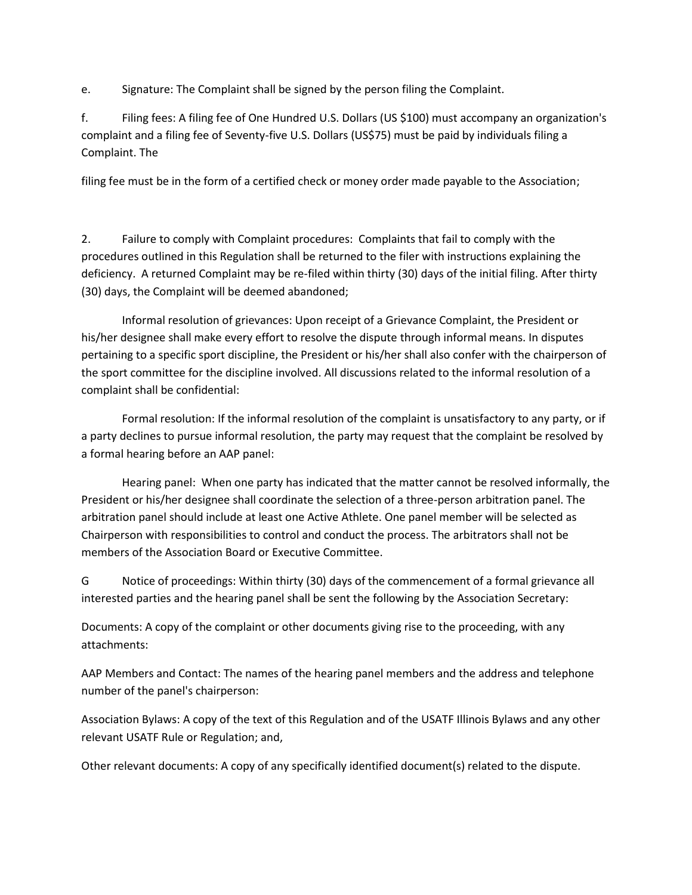e. Signature: The Complaint shall be signed by the person filing the Complaint.

f. Filing fees: A filing fee of One Hundred U.S. Dollars (US \$100) must accompany an organization's complaint and a filing fee of Seventy-five U.S. Dollars (US\$75) must be paid by individuals filing a Complaint. The

filing fee must be in the form of a certified check or money order made payable to the Association;

2. Failure to comply with Complaint procedures: Complaints that fail to comply with the procedures outlined in this Regulation shall be returned to the filer with instructions explaining the deficiency. A returned Complaint may be re-filed within thirty (30) days of the initial filing. After thirty (30) days, the Complaint will be deemed abandoned;

Informal resolution of grievances: Upon receipt of a Grievance Complaint, the President or his/her designee shall make every effort to resolve the dispute through informal means. In disputes pertaining to a specific sport discipline, the President or his/her shall also confer with the chairperson of the sport committee for the discipline involved. All discussions related to the informal resolution of a complaint shall be confidential:

Formal resolution: If the informal resolution of the complaint is unsatisfactory to any party, or if a party declines to pursue informal resolution, the party may request that the complaint be resolved by a formal hearing before an AAP panel:

Hearing panel: When one party has indicated that the matter cannot be resolved informally, the President or his/her designee shall coordinate the selection of a three-person arbitration panel. The arbitration panel should include at least one Active Athlete. One panel member will be selected as Chairperson with responsibilities to control and conduct the process. The arbitrators shall not be members of the Association Board or Executive Committee.

G Notice of proceedings: Within thirty (30) days of the commencement of a formal grievance all interested parties and the hearing panel shall be sent the following by the Association Secretary:

Documents: A copy of the complaint or other documents giving rise to the proceeding, with any attachments:

AAP Members and Contact: The names of the hearing panel members and the address and telephone number of the panel's chairperson:

Association Bylaws: A copy of the text of this Regulation and of the USATF Illinois Bylaws and any other relevant USATF Rule or Regulation; and,

Other relevant documents: A copy of any specifically identified document(s) related to the dispute.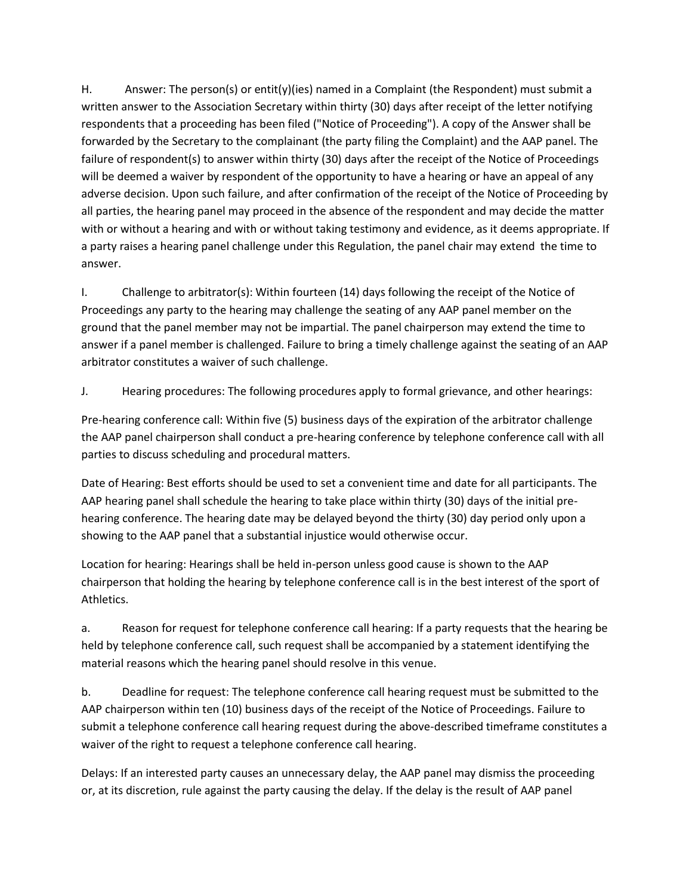H. Answer: The person(s) or entit(y)(ies) named in a Complaint (the Respondent) must submit a written answer to the Association Secretary within thirty (30) days after receipt of the letter notifying respondents that a proceeding has been filed ("Notice of Proceeding"). A copy of the Answer shall be forwarded by the Secretary to the complainant (the party filing the Complaint) and the AAP panel. The failure of respondent(s) to answer within thirty (30) days after the receipt of the Notice of Proceedings will be deemed a waiver by respondent of the opportunity to have a hearing or have an appeal of any adverse decision. Upon such failure, and after confirmation of the receipt of the Notice of Proceeding by all parties, the hearing panel may proceed in the absence of the respondent and may decide the matter with or without a hearing and with or without taking testimony and evidence, as it deems appropriate. If a party raises a hearing panel challenge under this Regulation, the panel chair may extend the time to answer.

I. Challenge to arbitrator(s): Within fourteen (14) days following the receipt of the Notice of Proceedings any party to the hearing may challenge the seating of any AAP panel member on the ground that the panel member may not be impartial. The panel chairperson may extend the time to answer if a panel member is challenged. Failure to bring a timely challenge against the seating of an AAP arbitrator constitutes a waiver of such challenge.

## J. Hearing procedures: The following procedures apply to formal grievance, and other hearings:

Pre-hearing conference call: Within five (5) business days of the expiration of the arbitrator challenge the AAP panel chairperson shall conduct a pre-hearing conference by telephone conference call with all parties to discuss scheduling and procedural matters.

Date of Hearing: Best efforts should be used to set a convenient time and date for all participants. The AAP hearing panel shall schedule the hearing to take place within thirty (30) days of the initial prehearing conference. The hearing date may be delayed beyond the thirty (30) day period only upon a showing to the AAP panel that a substantial injustice would otherwise occur.

Location for hearing: Hearings shall be held in-person unless good cause is shown to the AAP chairperson that holding the hearing by telephone conference call is in the best interest of the sport of Athletics.

a. Reason for request for telephone conference call hearing: If a party requests that the hearing be held by telephone conference call, such request shall be accompanied by a statement identifying the material reasons which the hearing panel should resolve in this venue.

b. Deadline for request: The telephone conference call hearing request must be submitted to the AAP chairperson within ten (10) business days of the receipt of the Notice of Proceedings. Failure to submit a telephone conference call hearing request during the above-described timeframe constitutes a waiver of the right to request a telephone conference call hearing.

Delays: If an interested party causes an unnecessary delay, the AAP panel may dismiss the proceeding or, at its discretion, rule against the party causing the delay. If the delay is the result of AAP panel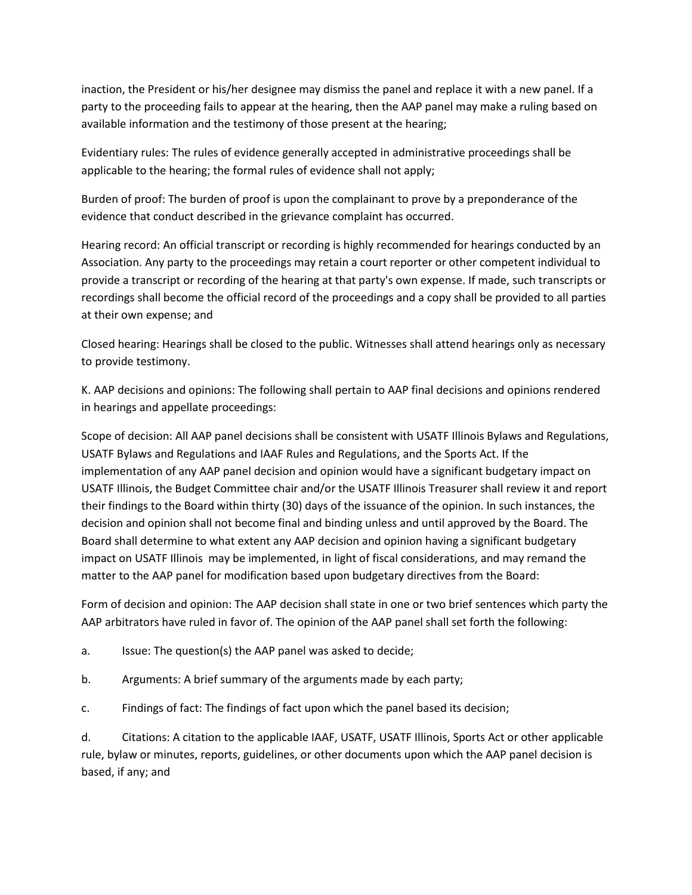inaction, the President or his/her designee may dismiss the panel and replace it with a new panel. If a party to the proceeding fails to appear at the hearing, then the AAP panel may make a ruling based on available information and the testimony of those present at the hearing;

Evidentiary rules: The rules of evidence generally accepted in administrative proceedings shall be applicable to the hearing; the formal rules of evidence shall not apply;

Burden of proof: The burden of proof is upon the complainant to prove by a preponderance of the evidence that conduct described in the grievance complaint has occurred.

Hearing record: An official transcript or recording is highly recommended for hearings conducted by an Association. Any party to the proceedings may retain a court reporter or other competent individual to provide a transcript or recording of the hearing at that party's own expense. If made, such transcripts or recordings shall become the official record of the proceedings and a copy shall be provided to all parties at their own expense; and

Closed hearing: Hearings shall be closed to the public. Witnesses shall attend hearings only as necessary to provide testimony.

K. AAP decisions and opinions: The following shall pertain to AAP final decisions and opinions rendered in hearings and appellate proceedings:

Scope of decision: All AAP panel decisions shall be consistent with USATF Illinois Bylaws and Regulations, USATF Bylaws and Regulations and IAAF Rules and Regulations, and the Sports Act. If the implementation of any AAP panel decision and opinion would have a significant budgetary impact on USATF Illinois, the Budget Committee chair and/or the USATF Illinois Treasurer shall review it and report their findings to the Board within thirty (30) days of the issuance of the opinion. In such instances, the decision and opinion shall not become final and binding unless and until approved by the Board. The Board shall determine to what extent any AAP decision and opinion having a significant budgetary impact on USATF Illinois may be implemented, in light of fiscal considerations, and may remand the matter to the AAP panel for modification based upon budgetary directives from the Board:

Form of decision and opinion: The AAP decision shall state in one or two brief sentences which party the AAP arbitrators have ruled in favor of. The opinion of the AAP panel shall set forth the following:

a. Issue: The question(s) the AAP panel was asked to decide;

b. Arguments: A brief summary of the arguments made by each party;

c. Findings of fact: The findings of fact upon which the panel based its decision;

d. Citations: A citation to the applicable IAAF, USATF, USATF Illinois, Sports Act or other applicable rule, bylaw or minutes, reports, guidelines, or other documents upon which the AAP panel decision is based, if any; and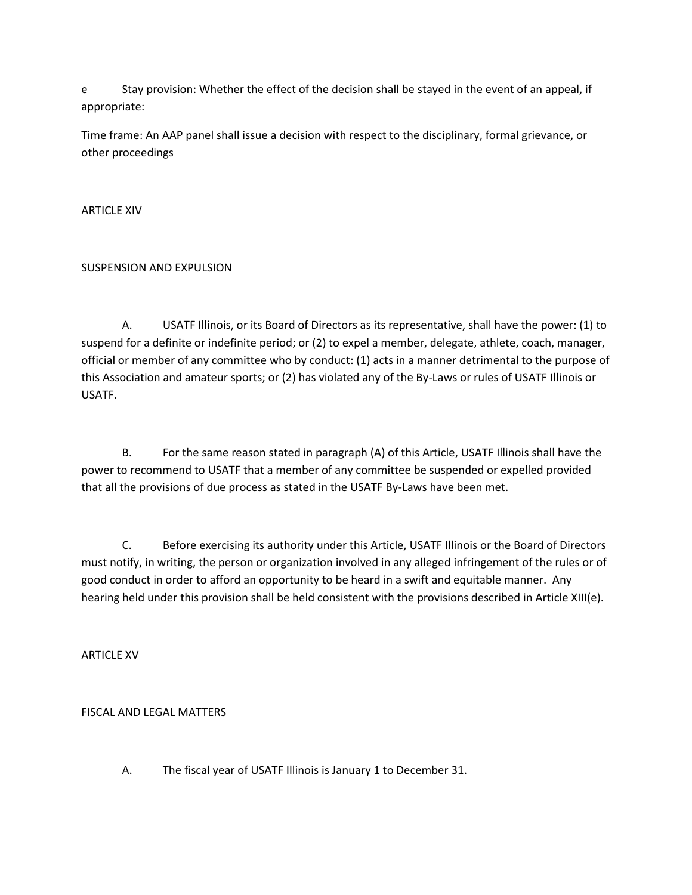e Stay provision: Whether the effect of the decision shall be stayed in the event of an appeal, if appropriate:

Time frame: An AAP panel shall issue a decision with respect to the disciplinary, formal grievance, or other proceedings

ARTICLE XIV

## SUSPENSION AND EXPULSION

A. USATF Illinois, or its Board of Directors as its representative, shall have the power: (1) to suspend for a definite or indefinite period; or (2) to expel a member, delegate, athlete, coach, manager, official or member of any committee who by conduct: (1) acts in a manner detrimental to the purpose of this Association and amateur sports; or (2) has violated any of the By-Laws or rules of USATF Illinois or USATF.

B. For the same reason stated in paragraph (A) of this Article, USATF Illinois shall have the power to recommend to USATF that a member of any committee be suspended or expelled provided that all the provisions of due process as stated in the USATF By-Laws have been met.

C. Before exercising its authority under this Article, USATF Illinois or the Board of Directors must notify, in writing, the person or organization involved in any alleged infringement of the rules or of good conduct in order to afford an opportunity to be heard in a swift and equitable manner. Any hearing held under this provision shall be held consistent with the provisions described in Article XIII(e).

ARTICLE XV

## FISCAL AND LEGAL MATTERS

A. The fiscal year of USATF Illinois is January 1 to December 31.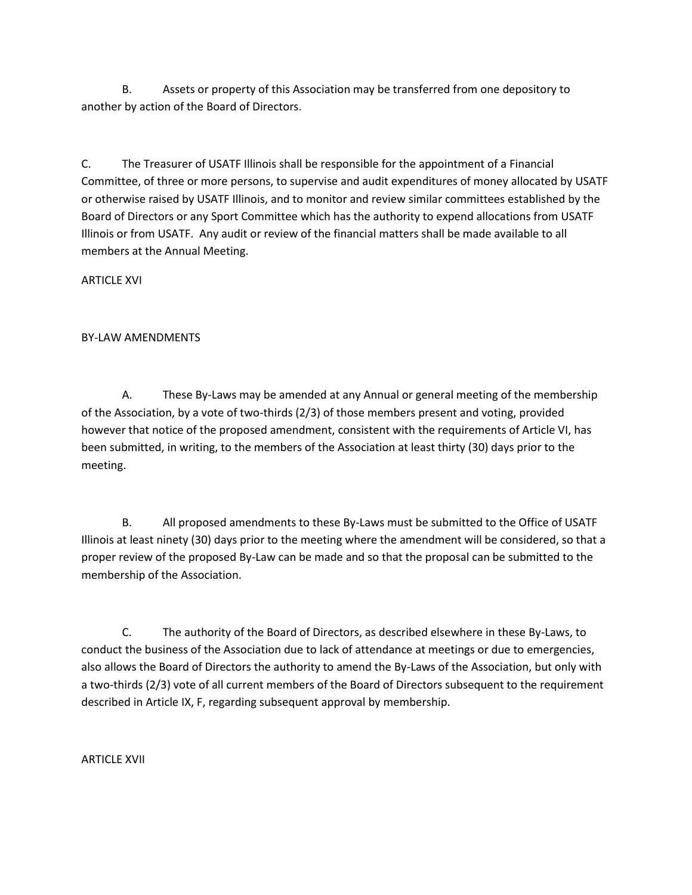B. Assets or property of this Association may be transferred from one depository to another by action of the Board of Directors.

C. The Treasurer of USATF Illinois shall be responsible for the appointment of a Financial Committee, of three or more persons, to supervise and audit expenditures of money allocated by USATF or otherwise raised by USATF Illinois, and to monitor and review similar committees established by the Board of Directors or any Sport Committee which has the authority to expend allocations from USATF Illinois or from USATF. Any audit or review of the financial matters shall be made available to all members at the Annual Meeting.

ARTICLE XVI

## BY-LAW AMENDMENTS

A. These By-Laws may be amended at any Annual or general meeting of the membership of the Association, by a vote of two-thirds (2/3) of those members present and voting, provided however that notice of the proposed amendment, consistent with the requirements of Article VI, has been submitted, in writing, to the members of the Association at least thirty (30) days prior to the meeting.

B. All proposed amendments to these By-Laws must be submitted to the Office of USATF Illinois at least ninety (30) days prior to the meeting where the amendment will be considered, so that a proper review of the proposed By-Law can be made and so that the proposal can be submitted to the membership of the Association.

C. The authority of the Board of Directors, as described elsewhere in these By-Laws, to conduct the business of the Association due to lack of attendance at meetings or due to emergencies, also allows the Board of Directors the authority to amend the By-Laws of the Association, but only with a two-thirds (2/3) vote of all current members of the Board of Directors subsequent to the requirement described in Article IX, F, regarding subsequent approval by membership.

ARTICLE XVII